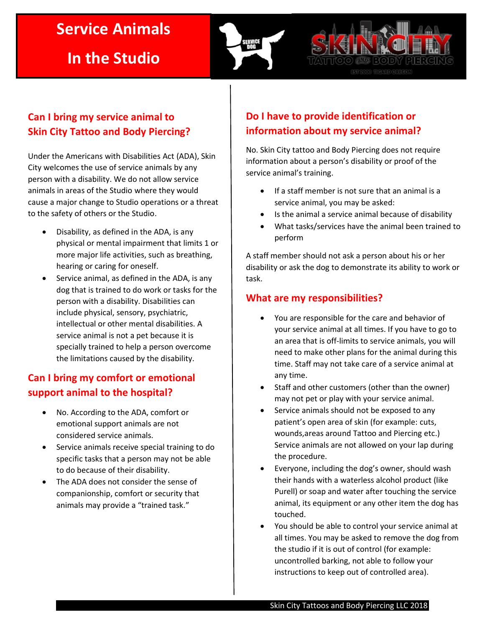# **Service Animals**

**In the Studio**



**ALLER BOOM PIER** 

# **Can I bring my service animal to Skin City Tattoo and Body Piercing?**

Under the Americans with Disabilities Act (ADA), Skin City welcomes the use of service animals by any person with a disability. We do not allow service animals in areas of the Studio where they would cause a major change to Studio operations or a threat to the safety of others or the Studio.

- Disability, as defined in the ADA, is any physical or mental impairment that limits 1 or more major life activities, such as breathing, hearing or caring for oneself.
- Service animal, as defined in the ADA, is any dog that is trained to do work or tasks for the person with a disability. Disabilities can include physical, sensory, psychiatric, intellectual or other mental disabilities. A service animal is not a pet because it is specially trained to help a person overcome the limitations caused by the disability.

# **Can I bring my comfort or emotional support animal to the hospital?**

- No. According to the ADA, comfort or emotional support animals are not considered service animals.
- Service animals receive special training to do specific tasks that a person may not be able to do because of their disability.
- The ADA does not consider the sense of companionship, comfort or security that animals may provide a "trained task."

# **Do I have to provide identification or information about my service animal?**

No. Skin City tattoo and Body Piercing does not require information about a person's disability or proof of the service animal's training.

- If a staff member is not sure that an animal is a service animal, you may be asked:
- Is the animal a service animal because of disability
- What tasks/services have the animal been trained to perform

A staff member should not ask a person about his or her disability or ask the dog to demonstrate its ability to work or task.

#### **What are my responsibilities?**

- You are responsible for the care and behavior of your service animal at all times. If you have to go to an area that is off-limits to service animals, you will need to make other plans for the animal during this time. Staff may not take care of a service animal at any time.
- Staff and other customers (other than the owner) may not pet or play with your service animal.
- Service animals should not be exposed to any patient's open area of skin (for example: cuts, wounds,areas around Tattoo and Piercing etc.) Service animals are not allowed on your lap during the procedure.
- Everyone, including the dog's owner, should wash their hands with a waterless alcohol product (like Purell) or soap and water after touching the service animal, its equipment or any other item the dog has touched.
- You should be able to control your service animal at all times. You may be asked to remove the dog from the studio if it is out of control (for example: uncontrolled barking, not able to follow your instructions to keep out of controlled area).